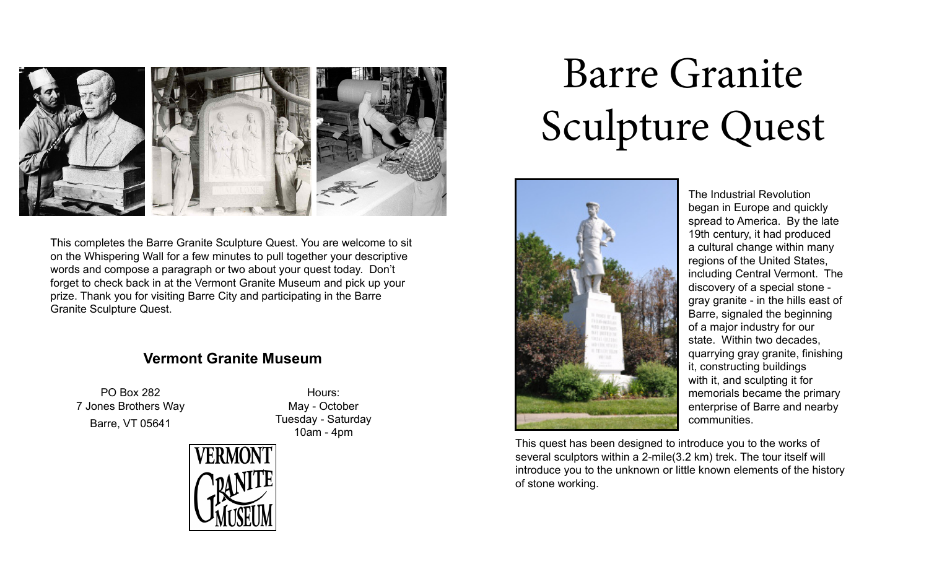

This completes the Barre Granite Sculpture Quest. You are welcome to sit on the Whispering Wall for a few minutes to pull together your descriptive words and compose a paragraph or two about your quest today. Don't forget to check back in at the Vermont Granite Museum and pick up your prize. Thank you for visiting Barre City and participating in the Barre Granite Sculpture Quest.

## **Vermont Granite Museum**

PO Box 282 7 Jones Brothers Way Barre, VT 05641

Hours: May - October Tuesday - Saturday 10am - 4pm



## Barre Granite Sculpture Quest



The Industrial Revolution began in Europe and quickly spread to America. By the late 19th century, it had produced a cultural change within many regions of the United States, including Central Vermont. The discovery of a special stone gray granite - in the hills east of Barre, signaled the beginning of a major industry for our state. Within two decades, quarrying gray granite, finishing it, constructing buildings with it, and sculpting it for memorials became the primary enterprise of Barre and nearby communities.

This quest has been designed to introduce you to the works of several sculptors within a 2-mile(3.2 km) trek. The tour itself will introduce you to the unknown or little known elements of the history of stone working.